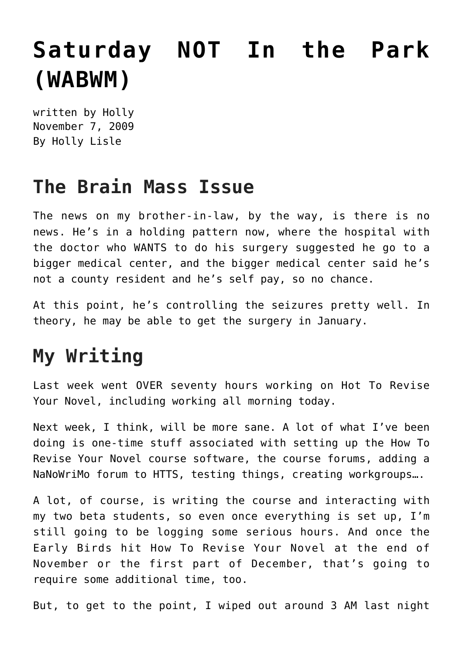## **[Saturday NOT In the Park](https://hollylisle.com/saturday-not-in-the-park-wabwm/) [\(WABWM\)](https://hollylisle.com/saturday-not-in-the-park-wabwm/)**

written by Holly November 7, 2009 [By Holly Lisle](https://hollylisle.com)

## **The Brain Mass Issue**

The news on my brother-in-law, by the way, is there is no news. He's in a holding pattern now, where the hospital with the doctor who WANTS to do his surgery suggested he go to a bigger medical center, and the bigger medical center said he's not a county resident and he's self pay, so no chance.

At this point, he's controlling the seizures pretty well. In theory, he may be able to get the surgery in January.

## **My Writing**

Last week went OVER seventy hours working on Hot To Revise Your Novel, including working all morning today.

Next week, I think, will be more sane. A lot of what I've been doing is one-time stuff associated with setting up the How To Revise Your Novel course software, the course forums, adding a NaNoWriMo forum to HTTS, testing things, creating workgroups….

A lot, of course, is writing the course and interacting with my two beta students, so even once everything is set up, I'm still going to be logging some serious hours. And once the Early Birds hit How To Revise Your Novel at the end of November or the first part of December, that's going to require some additional time, too.

But, to get to the point, I wiped out around 3 AM last night